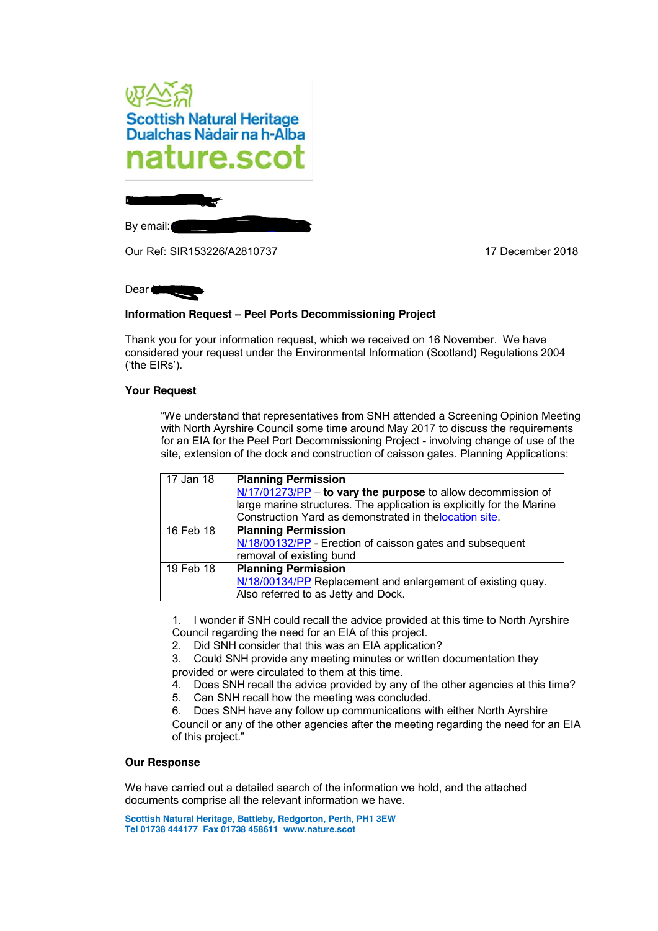

Our Ref: SIR153226/A2810737 17 December 2018

Dear **Ms** 

# **Information Request – Peel Ports Decommissioning Project**

Thank you for your information request, which we received on 16 November. We have considered your request under the Environmental Information (Scotland) Regulations 2004 ('the EIRs').

## **Your Request**

"We understand that representatives from SNH attended a Screening Opinion Meeting with North Ayrshire Council some time around May 2017 to discuss the requirements for an EIA for the Peel Port Decommissioning Project - involving change of use of the site, extension of the dock and construction of caisson gates. Planning Applications:

| 17 Jan 18 | <b>Planning Permission</b><br>$N/17/01273/PP$ – to vary the purpose to allow decommission of<br>large marine structures. The application is explicitly for the Marine<br>Construction Yard as demonstrated in the location site. |
|-----------|----------------------------------------------------------------------------------------------------------------------------------------------------------------------------------------------------------------------------------|
| 16 Feb 18 | <b>Planning Permission</b><br>N/18/00132/PP - Erection of caisson gates and subsequent<br>removal of existing bund                                                                                                               |
| 19 Feb 18 | <b>Planning Permission</b><br>N/18/00134/PP Replacement and enlargement of existing quay.<br>Also referred to as Jetty and Dock.                                                                                                 |

1. I wonder if SNH could recall the advice provided at this time to North Ayrshire Council regarding the need for an EIA of this project.

2. Did SNH consider that this was an EIA application?

3. Could SNH provide any meeting minutes or written documentation they provided or were circulated to them at this time.

- 4. Does SNH recall the advice provided by any of the other agencies at this time?
- 5. Can SNH recall how the meeting was concluded.

6. Does SNH have any follow up communications with either North Ayrshire Council or any of the other agencies after the meeting regarding the need for an EIA of this project."

### **Our Response**

We have carried out a detailed search of the information we hold, and the attached documents comprise all the relevant information we have.

**Scottish Natural Heritage, Battleby, Redgorton, Perth, PH1 3EW Tel 01738 444177 Fax 01738 458611 www.nature.scot**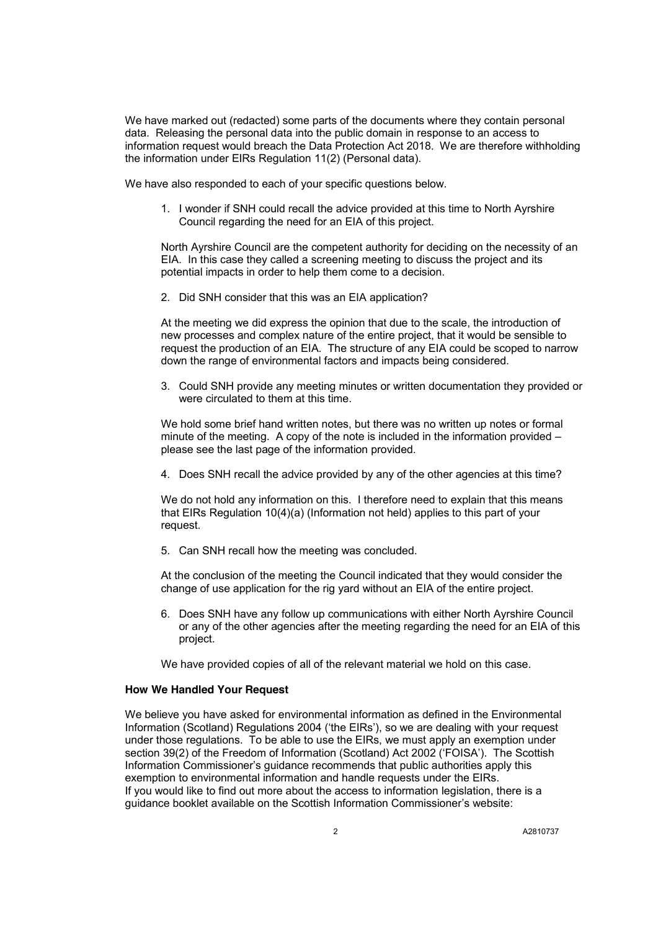We have marked out (redacted) some parts of the documents where they contain personal data. Releasing the personal data into the public domain in response to an access to information request would breach the Data Protection Act 2018. We are therefore withholding the information under EIRs Regulation 11(2) (Personal data).

We have also responded to each of your specific questions below.

1. I wonder if SNH could recall the advice provided at this time to North Ayrshire Council regarding the need for an EIA of this project.

North Ayrshire Council are the competent authority for deciding on the necessity of an EIA. In this case they called a screening meeting to discuss the project and its potential impacts in order to help them come to a decision.

2. Did SNH consider that this was an EIA application?

At the meeting we did express the opinion that due to the scale, the introduction of new processes and complex nature of the entire project, that it would be sensible to request the production of an EIA. The structure of any EIA could be scoped to narrow down the range of environmental factors and impacts being considered.

3. Could SNH provide any meeting minutes or written documentation they provided or were circulated to them at this time.

We hold some brief hand written notes, but there was no written up notes or formal minute of the meeting. A copy of the note is included in the information provided – please see the last page of the information provided.

4. Does SNH recall the advice provided by any of the other agencies at this time?

We do not hold any information on this. I therefore need to explain that this means that EIRs Regulation 10(4)(a) (Information not held) applies to this part of your request.

5. Can SNH recall how the meeting was concluded.

At the conclusion of the meeting the Council indicated that they would consider the change of use application for the rig yard without an EIA of the entire project.

6. Does SNH have any follow up communications with either North Ayrshire Council or any of the other agencies after the meeting regarding the need for an EIA of this project.

We have provided copies of all of the relevant material we hold on this case.

### **How We Handled Your Request**

We believe you have asked for environmental information as defined in the Environmental Information (Scotland) Regulations 2004 ('the EIRs'), so we are dealing with your request under those regulations. To be able to use the EIRs, we must apply an exemption under section 39(2) of the Freedom of Information (Scotland) Act 2002 ('FOISA'). The Scottish Information Commissioner's guidance recommends that public authorities apply this exemption to environmental information and handle requests under the EIRs. If you would like to find out more about the access to information legislation, there is a guidance booklet available on the Scottish Information Commissioner's website: